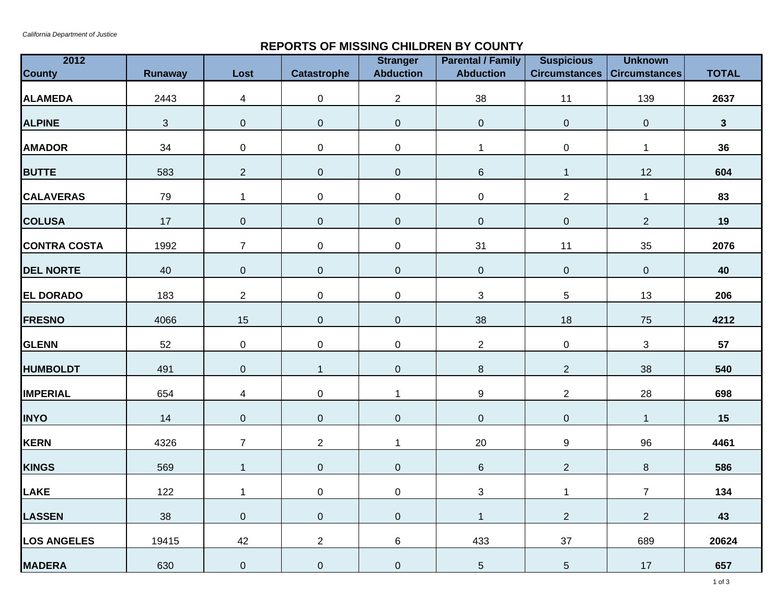## **REPORTS OF MISSING CHILDREN BY COUNTY**

| 2012<br><b>County</b> | Runaway    | Lost           | <b>Catastrophe</b> | <b>Stranger</b><br><b>Abduction</b> | <b>Parental / Family</b><br><b>Abduction</b> | <b>Suspicious</b><br><b>Circumstances</b> | <b>Unknown</b><br><b>Circumstances</b> | <b>TOTAL</b> |
|-----------------------|------------|----------------|--------------------|-------------------------------------|----------------------------------------------|-------------------------------------------|----------------------------------------|--------------|
|                       |            |                |                    |                                     |                                              |                                           |                                        |              |
| <b>ALAMEDA</b>        | 2443       | $\overline{4}$ | 0                  | $\overline{2}$                      | 38                                           | 11                                        | 139                                    | 2637         |
| <b>ALPINE</b>         | $\sqrt{3}$ | $\overline{0}$ | $\pmb{0}$          | $\boldsymbol{0}$                    | $\pmb{0}$                                    | $\pmb{0}$                                 | $\pmb{0}$                              | $\mathbf{3}$ |
| <b>AMADOR</b>         | 34         | $\pmb{0}$      | 0                  | $\mathbf 0$                         | $\mathbf 1$                                  | 0                                         | $\mathbf 1$                            | 36           |
| <b>BUTTE</b>          | 583        | $\overline{c}$ | $\pmb{0}$          | $\boldsymbol{0}$                    | $\,6\,$                                      | $\mathbf{1}$                              | 12                                     | 604          |
| <b>CALAVERAS</b>      | 79         | $\mathbf{1}$   | 0                  | $\mathbf 0$                         | $\pmb{0}$                                    | $\overline{2}$                            | 1                                      | 83           |
| <b>COLUSA</b>         | 17         | $\pmb{0}$      | $\pmb{0}$          | $\mathbf 0$                         | $\pmb{0}$                                    | $\pmb{0}$                                 | $\overline{2}$                         | 19           |
| <b>CONTRA COSTA</b>   | 1992       | $\overline{7}$ | 0                  | $\mathbf 0$                         | 31                                           | 11                                        | 35                                     | 2076         |
| <b>DEL NORTE</b>      | 40         | $\pmb{0}$      | $\pmb{0}$          | $\pmb{0}$                           | $\pmb{0}$                                    | $\pmb{0}$                                 | $\pmb{0}$                              | 40           |
| <b>EL DORADO</b>      | 183        | $\overline{2}$ | 0                  | $\mathbf 0$                         | $\mathbf{3}$                                 | 5                                         | 13                                     | 206          |
| <b>FRESNO</b>         | 4066       | 15             | $\boldsymbol{0}$   | $\pmb{0}$                           | 38                                           | 18                                        | 75                                     | 4212         |
| <b>GLENN</b>          | 52         | $\pmb{0}$      | 0                  | $\boldsymbol{0}$                    | $\overline{c}$                               | $\pmb{0}$                                 | $\mathfrak{S}$                         | 57           |
| <b>HUMBOLDT</b>       | 491        | $\pmb{0}$      | $\mathbf{1}$       | $\mathbf 0$                         | $\, 8$                                       | $\overline{2}$                            | 38                                     | 540          |
| <b>IMPERIAL</b>       | 654        | 4              | 0                  | $\mathbf{1}$                        | $\boldsymbol{9}$                             | $\overline{c}$                            | 28                                     | 698          |
| <b>INYO</b>           | 14         | $\overline{0}$ | $\boldsymbol{0}$   | $\pmb{0}$                           | $\overline{0}$                               | $\pmb{0}$                                 | $\mathbf{1}$                           | 15           |
| <b>KERN</b>           | 4326       | $\overline{7}$ | $\overline{2}$     | $\mathbf{1}$                        | 20                                           | 9                                         | 96                                     | 4461         |
| <b>KINGS</b>          | 569        | $\mathbf{1}$   | $\pmb{0}$          | $\boldsymbol{0}$                    | $\,6\,$                                      | $\overline{2}$                            | 8                                      | 586          |
| <b>LAKE</b>           | 122        | $\mathbf{1}$   | $\pmb{0}$          | $\pmb{0}$                           | $\sqrt{3}$                                   | $\mathbf 1$                               | $\overline{7}$                         | 134          |
| <b>LASSEN</b>         | 38         | $\pmb{0}$      | $\boldsymbol{0}$   | $\pmb{0}$                           | $\mathbf{1}$                                 | $\overline{2}$                            | $\overline{2}$                         | 43           |
| <b>LOS ANGELES</b>    | 19415      | 42             | $\overline{c}$     | 6                                   | 433                                          | 37                                        | 689                                    | 20624        |
| <b>MADERA</b>         | 630        | $\pmb{0}$      | 0                  | $\pmb{0}$                           | 5                                            | $5\phantom{.0}$                           | 17                                     | 657          |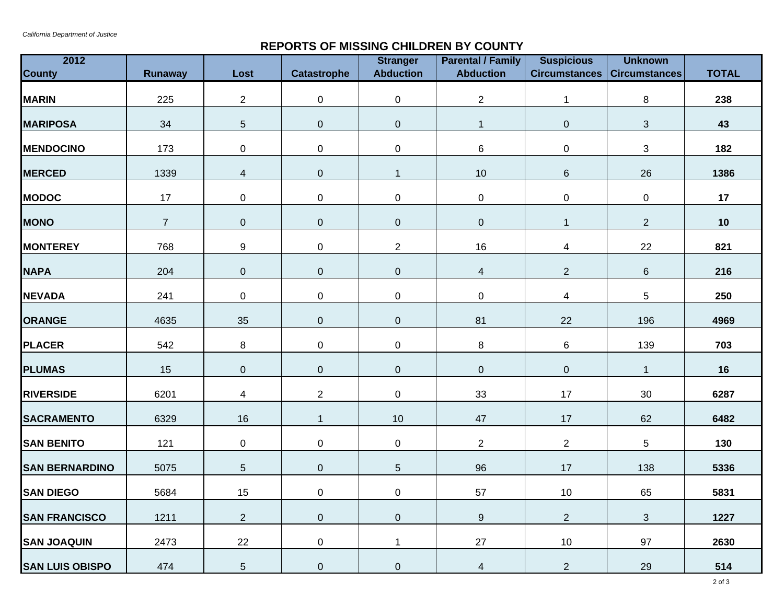## **REPORTS OF MISSING CHILDREN BY COUNTY**

| 2012<br><b>County</b>  | <b>Runaway</b> | Lost             | <b>Catastrophe</b> | <b>Stranger</b><br><b>Abduction</b> | <b>Parental / Family</b><br><b>Abduction</b> | <b>Suspicious</b><br>Circumstances | <b>Unknown</b><br><b>Circumstances</b> | <b>TOTAL</b> |
|------------------------|----------------|------------------|--------------------|-------------------------------------|----------------------------------------------|------------------------------------|----------------------------------------|--------------|
| <b>MARIN</b>           | 225            | $\overline{a}$   | 0                  | $\mathbf 0$                         | $\overline{2}$                               | $\mathbf{1}$                       | 8                                      | 238          |
| <b>MARIPOSA</b>        | 34             | $\sqrt{5}$       | $\pmb{0}$          | $\boldsymbol{0}$                    | $\mathbf{1}$                                 | $\overline{0}$                     | $\sqrt{3}$                             | 43           |
| <b>MENDOCINO</b>       | 173            | $\pmb{0}$        | 0                  | $\mathbf 0$                         | $\,6$                                        | 0                                  | $\mathbf{3}$                           | 182          |
| <b>MERCED</b>          | 1339           | $\overline{4}$   | 0                  | $\mathbf{1}$                        | $10$                                         | 6                                  | 26                                     | 1386         |
| <b>MODOC</b>           | 17             | $\pmb{0}$        | 0                  | $\mathbf 0$                         | $\mathbf 0$                                  | 0                                  | $\mathbf 0$                            | 17           |
| <b>MONO</b>            | $\overline{7}$ | $\boldsymbol{0}$ | $\pmb{0}$          | $\mathbf 0$                         | $\pmb{0}$                                    | $\mathbf{1}$                       | $\overline{2}$                         | 10           |
| <b>MONTEREY</b>        | 768            | $\boldsymbol{9}$ | 0                  | $\overline{2}$                      | 16                                           | $\overline{4}$                     | 22                                     | 821          |
| <b>NAPA</b>            | 204            | $\pmb{0}$        | $\boldsymbol{0}$   | $\pmb{0}$                           | $\overline{4}$                               | $\overline{2}$                     | $\,6\,$                                | 216          |
| <b>NEVADA</b>          | 241            | $\pmb{0}$        | 0                  | $\mathbf 0$                         | $\pmb{0}$                                    | $\overline{4}$                     | 5                                      | 250          |
| <b>ORANGE</b>          | 4635           | $35\,$           | $\boldsymbol{0}$   | $\pmb{0}$                           | 81                                           | 22                                 | 196                                    | 4969         |
| <b>PLACER</b>          | 542            | $\bf 8$          | 0                  | $\mathbf 0$                         | 8                                            | 6                                  | 139                                    | 703          |
| <b>PLUMAS</b>          | 15             | $\pmb{0}$        | $\boldsymbol{0}$   | $\mathbf 0$                         | $\pmb{0}$                                    | $\pmb{0}$                          | $\mathbf{1}$                           | 16           |
| <b>RIVERSIDE</b>       | 6201           | $\overline{4}$   | $\overline{a}$     | $\mathbf 0$                         | 33                                           | 17                                 | $30\,$                                 | 6287         |
| <b>SACRAMENTO</b>      | 6329           | 16               | $\mathbf{1}$       | 10                                  | 47                                           | 17                                 | 62                                     | 6482         |
| <b>SAN BENITO</b>      | 121            | $\pmb{0}$        | 0                  | $\pmb{0}$                           | $\overline{2}$                               | $\overline{2}$                     | 5                                      | 130          |
| <b>SAN BERNARDINO</b>  | 5075           | $\overline{5}$   | $\boldsymbol{0}$   | $5\phantom{.0}$                     | 96                                           | 17                                 | 138                                    | 5336         |
| <b>SAN DIEGO</b>       | 5684           | 15               | 0                  | $\pmb{0}$                           | 57                                           | $10\,$                             | 65                                     | 5831         |
| <b>SAN FRANCISCO</b>   | 1211           | $\overline{2}$   | 0                  | $\pmb{0}$                           | $\boldsymbol{9}$                             | $\overline{a}$                     | $\mathfrak{S}$                         | 1227         |
| <b>SAN JOAQUIN</b>     | 2473           | 22               | 0                  | $\mathbf 1$                         | 27                                           | 10                                 | 97                                     | 2630         |
| <b>SAN LUIS OBISPO</b> | 474            | $\sqrt{5}$       | 0                  | $\mathbf 0$                         | 4                                            | $\overline{2}$                     | 29                                     | 514          |